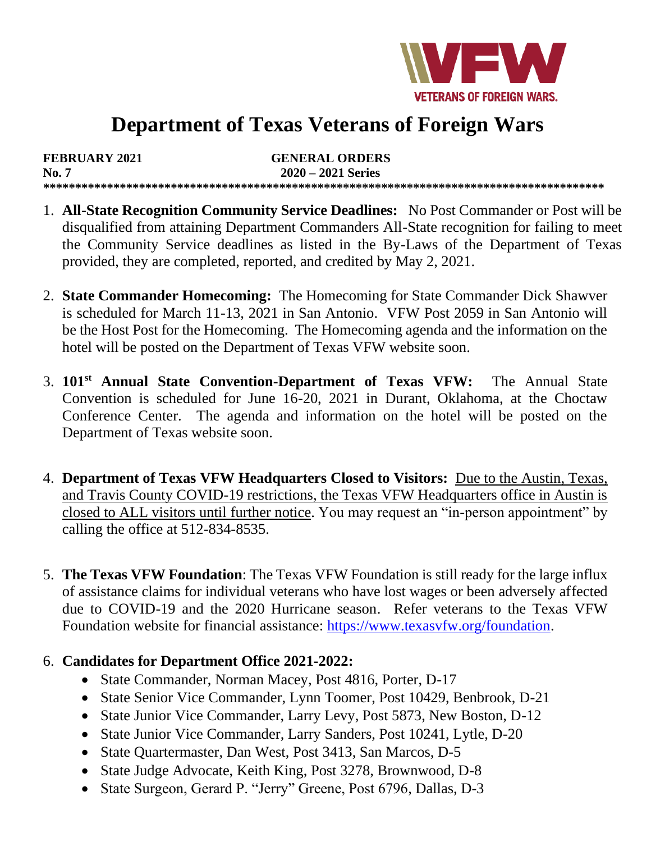

# **Department of Texas Veterans of Foreign Wars**

**FEBRUARY 2021 GENERAL ORDERS No. 7****2020 – 2021 Series \*\*\*\*\*\*\*\*\*\*\*\*\*\*\*\*\*\*\*\*\*\*\*\*\*\*\*\*\*\*\*\*\*\*\*\*\*\*\*\*\*\*\*\*\*\*\*\*\*\*\*\*\*\*\*\*\*\*\*\*\*\*\*\*\*\*\*\*\*\*\*\*\*\*\*\*\*\*\*\*\*\*\*\*\*\*\*\***

- 1. **All-State Recognition Community Service Deadlines:** No Post Commander or Post will be disqualified from attaining Department Commanders All-State recognition for failing to meet the Community Service deadlines as listed in the By-Laws of the Department of Texas provided, they are completed, reported, and credited by May 2, 2021.
- 2. **State Commander Homecoming:** The Homecoming for State Commander Dick Shawver is scheduled for March 11-13, 2021 in San Antonio. VFW Post 2059 in San Antonio will be the Host Post for the Homecoming. The Homecoming agenda and the information on the hotel will be posted on the Department of Texas VFW website soon.
- 3. **101st Annual State Convention-Department of Texas VFW:** The Annual State Convention is scheduled for June 16-20, 2021 in Durant, Oklahoma, at the Choctaw Conference Center. The agenda and information on the hotel will be posted on the Department of Texas website soon.
- 4. **Department of Texas VFW Headquarters Closed to Visitors:** Due to the Austin, Texas, and Travis County COVID-19 restrictions, the Texas VFW Headquarters office in Austin is closed to ALL visitors until further notice. You may request an "in-person appointment" by calling the office at 512-834-8535.
- 5. **The Texas VFW Foundation**: The Texas VFW Foundation is still ready for the large influx of assistance claims for individual veterans who have lost wages or been adversely affected due to COVID-19 and the 2020 Hurricane season. Refer veterans to the Texas VFW Foundation website for financial assistance: [https://www.texasvfw.org/foundation.](https://www.texasvfw.org/foundation)

#### 6. **Candidates for Department Office 2021-2022:**

- State Commander, Norman Macey, Post 4816, Porter, D-17
- State Senior Vice Commander, Lynn Toomer, Post 10429, Benbrook, D-21
- State Junior Vice Commander, Larry Levy, Post 5873, New Boston, D-12
- State Junior Vice Commander, Larry Sanders, Post 10241, Lytle, D-20
- State Quartermaster, Dan West, Post 3413, San Marcos, D-5
- State Judge Advocate, Keith King, Post 3278, Brownwood, D-8
- State Surgeon, Gerard P. "Jerry" Greene, Post 6796, Dallas, D-3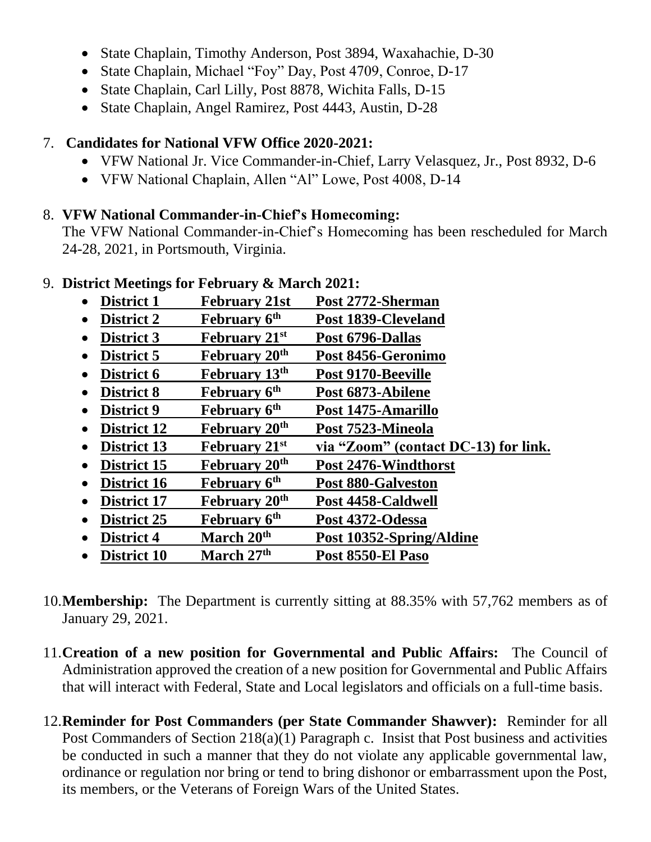- State Chaplain, Timothy Anderson, Post 3894, Waxahachie, D-30
- State Chaplain, Michael "Foy" Day, Post 4709, Conroe, D-17
- State Chaplain, Carl Lilly, Post 8878, Wichita Falls, D-15
- State Chaplain, Angel Ramirez, Post 4443, Austin, D-28

## 7. **Candidates for National VFW Office 2020-2021:**

- VFW National Jr. Vice Commander-in-Chief, Larry Velasquez, Jr., Post 8932, D-6
- VFW National Chaplain, Allen "Al" Lowe, Post 4008, D-14

## 8. **VFW National Commander-in-Chief's Homecoming:**

The VFW National Commander-in-Chief's Homecoming has been rescheduled for March 24-28, 2021, in Portsmouth, Virginia.

## 9. **District Meetings for February & March 2021:**

- **District 1 February 21st Post 2772-Sherman**
- **District 2 February 6th Post 1839-Cleveland**
- **District 3 February 21st Post 6796-Dallas**
- **District 5 February 20th Post 8456-Geronimo**
- **District 6 February 13th Post 9170-Beeville**
- **District 8 February 6th Post 6873-Abilene**
- **District 9 February 6th Post 1475-Amarillo**
- **District 12 February 20th Post 7523-Mineola**
- **District 13 February 21st via "Zoom" (contact DC-13) for link.**
- **District 15 February 20th Post 2476-Windthorst**
- **District 16 February 6th Post 880-Galveston**
- **District 17 February 20th Post 4458-Caldwell**
- **District 25 February 6th Post 4372-Odessa**
- **District 4 March 20th Post 10352-Spring/Aldine**
- **District 10 March 27th Post 8550-El Paso**
- 10.**Membership:** The Department is currently sitting at 88.35% with 57,762 members as of January 29, 2021.
- 11.**Creation of a new position for Governmental and Public Affairs:** The Council of Administration approved the creation of a new position for Governmental and Public Affairs that will interact with Federal, State and Local legislators and officials on a full-time basis.
- 12.**Reminder for Post Commanders (per State Commander Shawver):** Reminder for all Post Commanders of Section 218(a)(1) Paragraph c. Insist that Post business and activities be conducted in such a manner that they do not violate any applicable governmental law, ordinance or regulation nor bring or tend to bring dishonor or embarrassment upon the Post, its members, or the Veterans of Foreign Wars of the United States.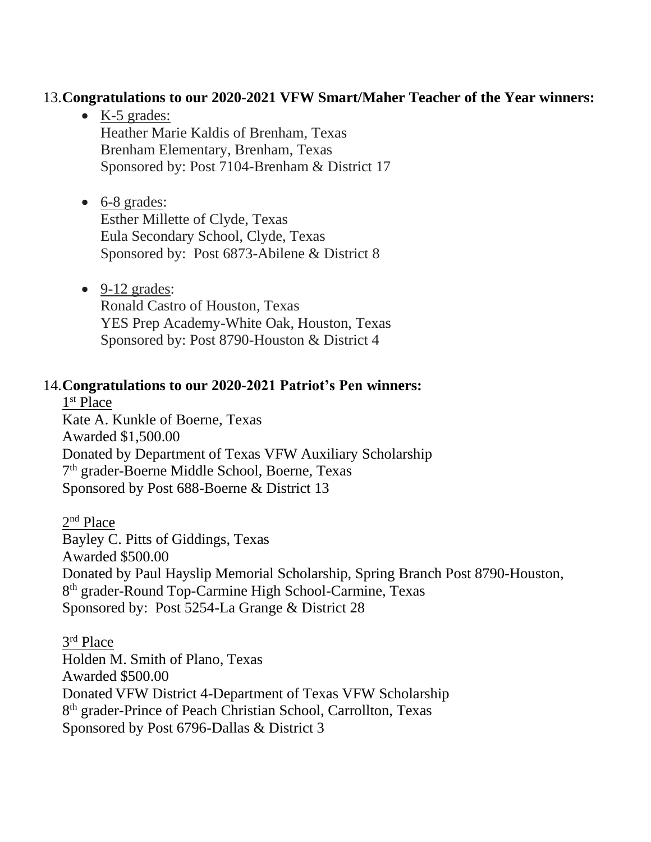### 13.**Congratulations to our 2020-2021 VFW Smart/Maher Teacher of the Year winners:**

- K-5 grades: Heather Marie Kaldis of Brenham, Texas Brenham Elementary, Brenham, Texas Sponsored by: Post 7104-Brenham & District 17
- 6-8 grades: Esther Millette of Clyde, Texas Eula Secondary School, Clyde, Texas Sponsored by: Post 6873-Abilene & District 8
- $\bullet$  9-12 grades: Ronald Castro of Houston, Texas YES Prep Academy-White Oak, Houston, Texas Sponsored by: Post 8790-Houston & District 4

#### 14.**Congratulations to our 2020-2021 Patriot's Pen winners:**

1<sup>st</sup> Place Kate A. Kunkle of Boerne, Texas Awarded \$1,500.00 Donated by Department of Texas VFW Auxiliary Scholarship 7<sup>th</sup> grader-Boerne Middle School, Boerne, Texas Sponsored by Post 688-Boerne & District 13

2<sup>nd</sup> Place Bayley C. Pitts of Giddings, Texas Awarded \$500.00 Donated by Paul Hayslip Memorial Scholarship, Spring Branch Post 8790-Houston, 8<sup>th</sup> grader-Round Top-Carmine High School-Carmine, Texas Sponsored by: Post 5254-La Grange & District 28

3<sup>rd</sup> Place Holden M. Smith of Plano, Texas Awarded \$500.00 Donated VFW District 4-Department of Texas VFW Scholarship 8<sup>th</sup> grader-Prince of Peach Christian School, Carrollton, Texas Sponsored by Post 6796-Dallas & District 3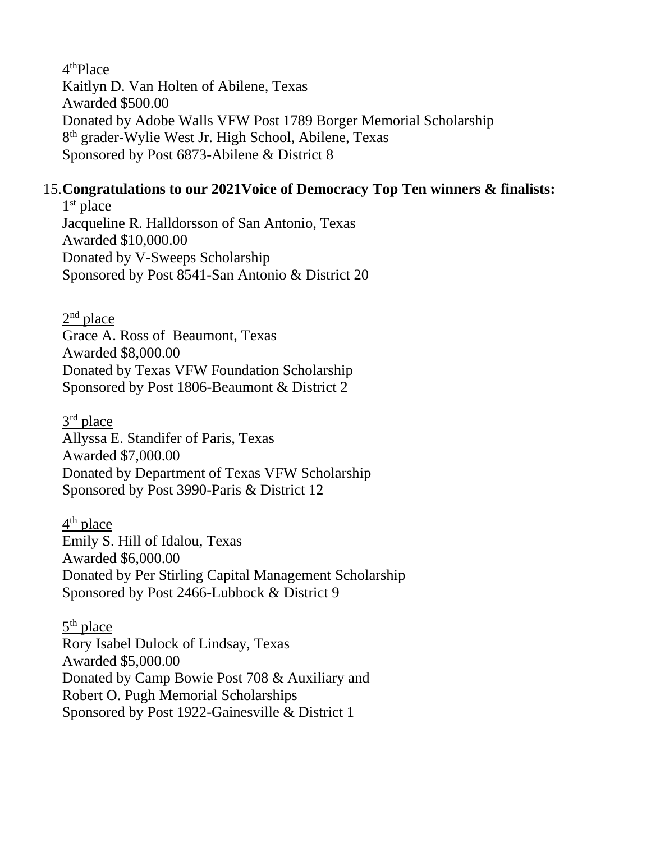4<sup>th</sup>Place Kaitlyn D. Van Holten of Abilene, Texas Awarded \$500.00 Donated by Adobe Walls VFW Post 1789 Borger Memorial Scholarship 8<sup>th</sup> grader-Wylie West Jr. High School, Abilene, Texas Sponsored by Post 6873-Abilene & District 8

## 15.**Congratulations to our 2021Voice of Democracy Top Ten winners & finalists:**

1<sup>st</sup> place Jacqueline R. Halldorsson of San Antonio, Texas Awarded \$10,000.00 Donated by V-Sweeps Scholarship Sponsored by Post 8541-San Antonio & District 20

 $2<sup>nd</sup>$  place Grace A. Ross of Beaumont, Texas Awarded \$8,000.00 Donated by Texas VFW Foundation Scholarship Sponsored by Post 1806-Beaumont & District 2

3<sup>rd</sup> place Allyssa E. Standifer of Paris, Texas Awarded \$7,000.00 Donated by Department of Texas VFW Scholarship Sponsored by Post 3990-Paris & District 12

4<sup>th</sup> place Emily S. Hill of Idalou, Texas Awarded \$6,000.00 Donated by Per Stirling Capital Management Scholarship Sponsored by Post 2466-Lubbock & District 9

5<sup>th</sup> place Rory Isabel Dulock of Lindsay, Texas Awarded \$5,000.00 Donated by Camp Bowie Post 708 & Auxiliary and Robert O. Pugh Memorial Scholarships Sponsored by Post 1922-Gainesville & District 1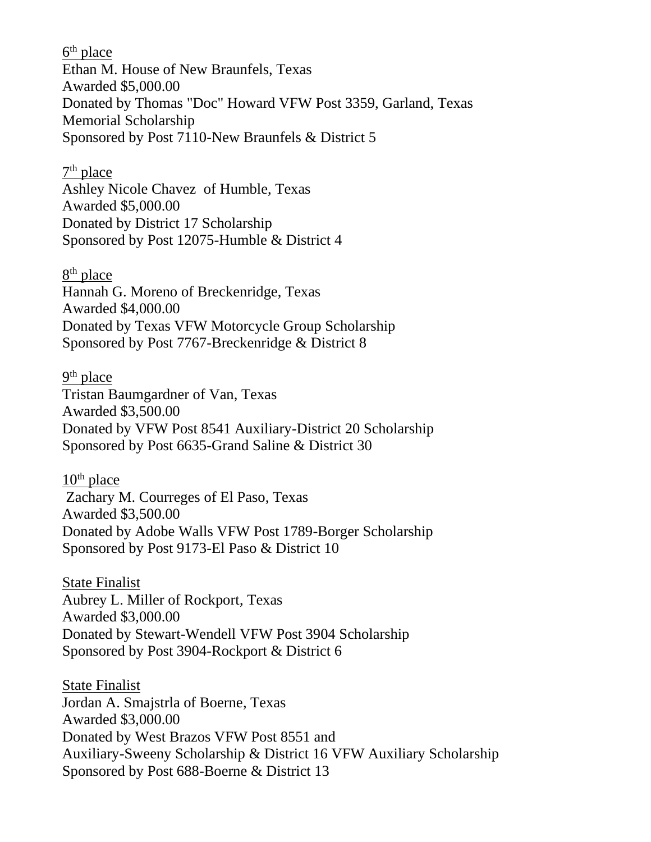6<sup>th</sup> place Ethan M. House of New Braunfels, Texas Awarded \$5,000.00 Donated by Thomas "Doc" Howard VFW Post 3359, Garland, Texas Memorial Scholarship Sponsored by Post 7110-New Braunfels & District 5

7<sup>th</sup> place

Ashley Nicole Chavez of Humble, Texas Awarded \$5,000.00 Donated by District 17 Scholarship Sponsored by Post 12075-Humble & District 4

8<sup>th</sup> place Hannah G. Moreno of Breckenridge, Texas Awarded \$4,000.00 Donated by Texas VFW Motorcycle Group Scholarship Sponsored by Post 7767-Breckenridge & District 8

9<sup>th</sup> place Tristan Baumgardner of Van, Texas Awarded \$3,500.00 Donated by VFW Post 8541 Auxiliary-District 20 Scholarship Sponsored by Post 6635-Grand Saline & District 30

 $10<sup>th</sup>$  place Zachary M. Courreges of El Paso, Texas Awarded \$3,500.00 Donated by Adobe Walls VFW Post 1789-Borger Scholarship Sponsored by Post 9173-El Paso & District 10

State Finalist Aubrey L. Miller of Rockport, Texas Awarded \$3,000.00 Donated by Stewart-Wendell VFW Post 3904 Scholarship Sponsored by Post 3904-Rockport & District 6

State Finalist Jordan A. Smajstrla of Boerne, Texas Awarded \$3,000.00 Donated by West Brazos VFW Post 8551 and Auxiliary-Sweeny Scholarship & District 16 VFW Auxiliary Scholarship Sponsored by Post 688-Boerne & District 13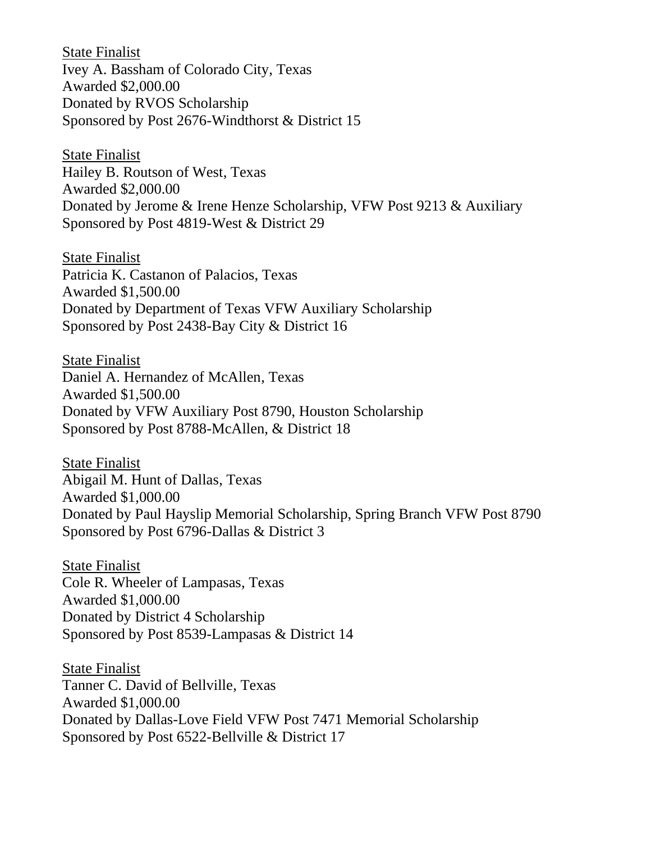State Finalist Ivey A. Bassham of Colorado City, Texas Awarded \$2,000.00 Donated by RVOS Scholarship Sponsored by Post 2676-Windthorst & District 15

State Finalist Hailey B. Routson of West, Texas Awarded \$2,000.00 Donated by Jerome & Irene Henze Scholarship, VFW Post 9213 & Auxiliary Sponsored by Post 4819-West & District 29

State Finalist Patricia K. Castanon of Palacios, Texas Awarded \$1,500.00 Donated by Department of Texas VFW Auxiliary Scholarship Sponsored by Post 2438-Bay City & District 16

State Finalist Daniel A. Hernandez of McAllen, Texas Awarded \$1,500.00 Donated by VFW Auxiliary Post 8790, Houston Scholarship Sponsored by Post 8788-McAllen, & District 18

State Finalist Abigail M. Hunt of Dallas, Texas Awarded \$1,000.00 Donated by Paul Hayslip Memorial Scholarship, Spring Branch VFW Post 8790 Sponsored by Post 6796-Dallas & District 3

State Finalist Cole R. Wheeler of Lampasas, Texas Awarded \$1,000.00 Donated by District 4 Scholarship Sponsored by Post 8539-Lampasas & District 14

State Finalist Tanner C. David of Bellville, Texas Awarded \$1,000.00 Donated by Dallas-Love Field VFW Post 7471 Memorial Scholarship Sponsored by Post 6522-Bellville & District 17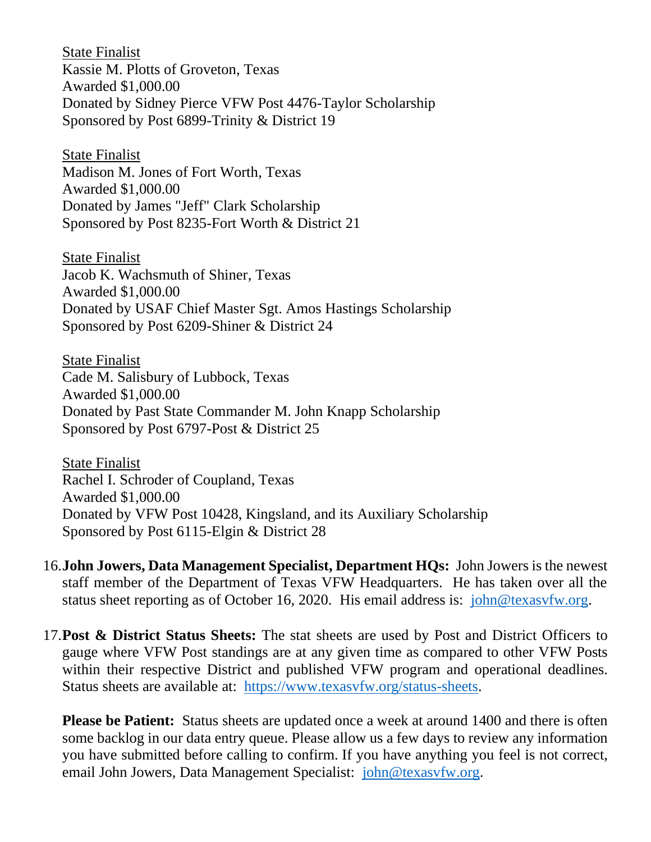State Finalist Kassie M. Plotts of Groveton, Texas Awarded \$1,000.00 Donated by Sidney Pierce VFW Post 4476-Taylor Scholarship Sponsored by Post 6899-Trinity & District 19

State Finalist Madison M. Jones of Fort Worth, Texas Awarded \$1,000.00 Donated by James "Jeff" Clark Scholarship Sponsored by Post 8235-Fort Worth & District 21

State Finalist Jacob K. Wachsmuth of Shiner, Texas Awarded \$1,000.00 Donated by USAF Chief Master Sgt. Amos Hastings Scholarship Sponsored by Post 6209-Shiner & District 24

State Finalist Cade M. Salisbury of Lubbock, Texas Awarded \$1,000.00 Donated by Past State Commander M. John Knapp Scholarship Sponsored by Post 6797-Post & District 25

State Finalist Rachel I. Schroder of Coupland, Texas Awarded \$1,000.00 Donated by VFW Post 10428, Kingsland, and its Auxiliary Scholarship Sponsored by Post 6115-Elgin & District 28

- 16.**John Jowers, Data Management Specialist, Department HQs:** John Jowers is the newest staff member of the Department of Texas VFW Headquarters. He has taken over all the status sheet reporting as of October 16, 2020. His email address is: [john@texasvfw.org.](mailto:john@texasvfw.org)
- 17.**Post & District Status Sheets:** The stat sheets are used by Post and District Officers to gauge where VFW Post standings are at any given time as compared to other VFW Posts within their respective District and published VFW program and operational deadlines. Status sheets are available at: [https://www.texasvfw.org/status-sheets.](https://www.texasvfw.org/status-sheets)

**Please be Patient:** Status sheets are updated once a week at around 1400 and there is often some backlog in our data entry queue. Please allow us a few days to review any information you have submitted before calling to confirm. If you have anything you feel is not correct, email John Jowers, Data Management Specialist: [john@texasvfw.org](mailto:john@texasvfw.org).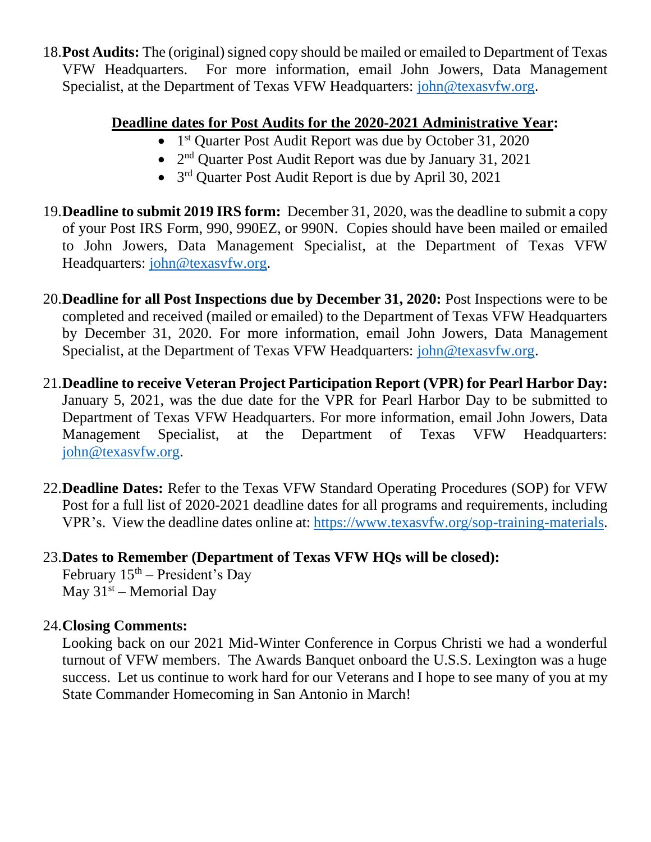18.**Post Audits:** The (original) signed copy should be mailed or emailed to Department of Texas VFW Headquarters. For more information, email John Jowers, Data Management Specialist, at the Department of Texas VFW Headquarters: [john@texasvfw.org](mailto:john@texasvfw.org).

## **Deadline dates for Post Audits for the 2020-2021 Administrative Year:**

- 1<sup>st</sup> Quarter Post Audit Report was due by October 31, 2020
- 2<sup>nd</sup> Quarter Post Audit Report was due by January 31, 2021
- $3<sup>rd</sup>$  Quarter Post Audit Report is due by April 30, 2021
- 19.**Deadline to submit 2019 IRS form:** December 31, 2020, was the deadline to submit a copy of your Post IRS Form, 990, 990EZ, or 990N. Copies should have been mailed or emailed to John Jowers, Data Management Specialist, at the Department of Texas VFW Headquarters: [john@texasvfw.org](mailto:john@texasvfw.org).
- 20.**Deadline for all Post Inspections due by December 31, 2020:** Post Inspections were to be completed and received (mailed or emailed) to the Department of Texas VFW Headquarters by December 31, 2020. For more information, email John Jowers, Data Management Specialist, at the Department of Texas VFW Headquarters: [john@texasvfw.org.](mailto:john@texasvfw.org)
- 21.**Deadline to receive Veteran Project Participation Report (VPR) for Pearl Harbor Day:**  January 5, 2021, was the due date for the VPR for Pearl Harbor Day to be submitted to Department of Texas VFW Headquarters. For more information, email John Jowers, Data Management Specialist, at the Department of Texas VFW Headquarters: [john@texasvfw.org](mailto:john@texasvfw.org).
- 22.**Deadline Dates:** Refer to the Texas VFW Standard Operating Procedures (SOP) for VFW Post for a full list of 2020-2021 deadline dates for all programs and requirements, including VPR's. View the deadline dates online at: <https://www.texasvfw.org/sop-training-materials>.

# 23.**Dates to Remember (Department of Texas VFW HQs will be closed):**

February  $15<sup>th</sup>$  – President's Day May  $31<sup>st</sup>$  – Memorial Day

# 24.**Closing Comments:**

Looking back on our 2021 Mid-Winter Conference in Corpus Christi we had a wonderful turnout of VFW members. The Awards Banquet onboard the U.S.S. Lexington was a huge success. Let us continue to work hard for our Veterans and I hope to see many of you at my State Commander Homecoming in San Antonio in March!